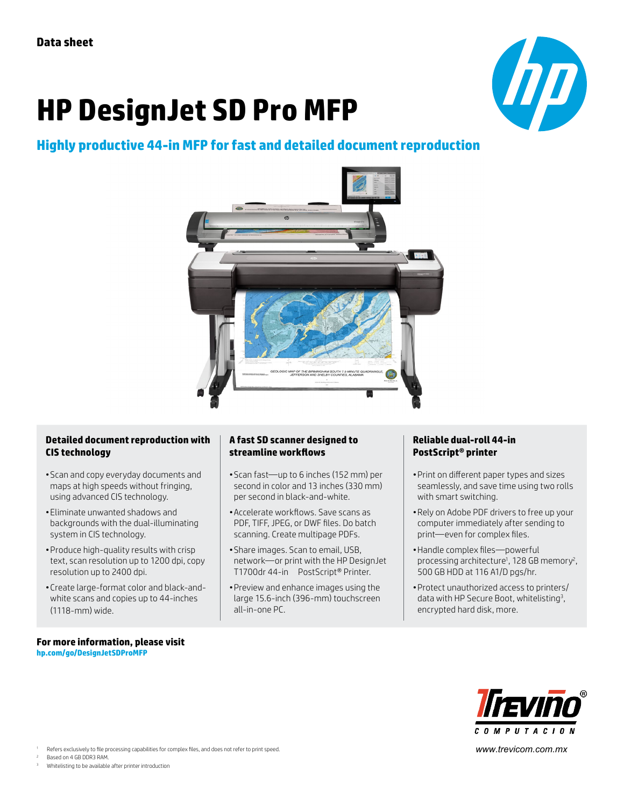# **HP DesignJet SD Pro MFP**



# **Highly productive 44-in MFP for fast and detailed document reproduction**



### **Detailed document reproduction with CIS technology**

- •Scan and copy everyday documents and maps at high speeds without fringing, using advanced CIS technology.
- •Eliminate unwanted shadows and backgrounds with the dual-illuminating system in CIS technology.
- •Produce high-quality results with crisp text, scan resolution up to 1200 dpi, copy resolution up to 2400 dpi.
- •Create large-format color and black-andwhite scans and copies up to 44-inches (1118-mm) wide.

#### **For more information, please visit [hp.com/go/D](http://hp.com/go/DesignjetSDProMFP)esignJetSDProMFP**

## **A fast SD scanner designed to streamline workflows**

- •Scan fast—up to 6 inches (152 mm) per second in color and 13 inches (330 mm) per second in black-and-white.
- •Accelerate workflows. Save scans as PDF, TIFF, JPEG, or DWF files. Do batch scanning. Create multipage PDFs.
- •Share images. Scan to email, USB, network—or print with the HP DesignJet T1700dr 44-in PostScript® Printer.
- •Preview and enhance images using the large 15.6-inch (396-mm) touchscreen all-in-one PC.

# **Reliable dual-roll 44-in PostScript® printer**

- •Print on different paper types and sizes seamlessly, and save time using two rolls with smart switching.
- •Rely on Adobe PDF drivers to free up your computer immediately after sending to print—even for complex files.
- •Handle complex files—powerful processing architecture<sup>1</sup>, 128 GB memory<sup>2</sup>, 500 GB HDD at 116 A1/D pgs/hr.
- •Protect unauthorized access to printers/ data with HP Secure Boot, whitelisting<sup>3</sup>, encrypted hard disk, more.



*www.trevicom.com.mx*

Refers exclusively to file processing capabilities for complex files, and does not refer to print speed.

Based on 4 GB DDR3 RAM.

Whitelisting to be available after printer introduction